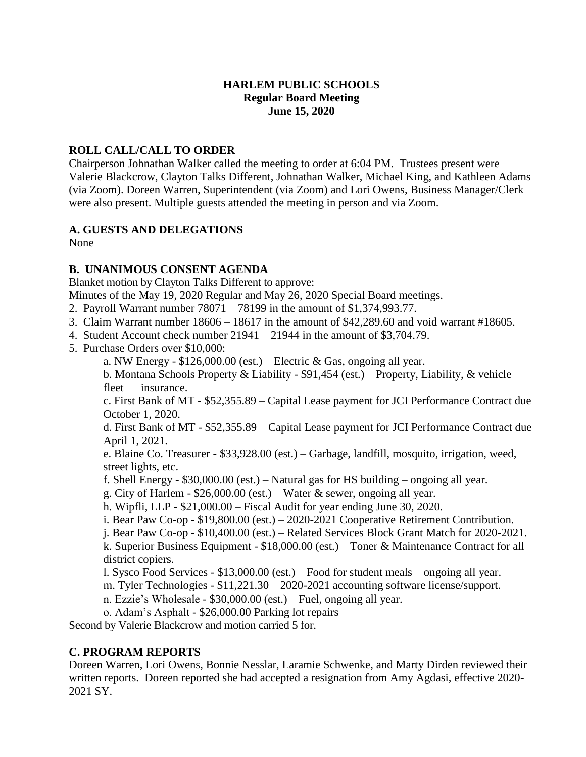#### **HARLEM PUBLIC SCHOOLS Regular Board Meeting June 15, 2020**

### **ROLL CALL/CALL TO ORDER**

Chairperson Johnathan Walker called the meeting to order at 6:04 PM. Trustees present were Valerie Blackcrow, Clayton Talks Different, Johnathan Walker, Michael King, and Kathleen Adams (via Zoom). Doreen Warren, Superintendent (via Zoom) and Lori Owens, Business Manager/Clerk were also present. Multiple guests attended the meeting in person and via Zoom.

## **A. GUESTS AND DELEGATIONS**

None

## **B. UNANIMOUS CONSENT AGENDA**

Blanket motion by Clayton Talks Different to approve:

Minutes of the May 19, 2020 Regular and May 26, 2020 Special Board meetings.

- 2. Payroll Warrant number 78071 78199 in the amount of \$1,374,993.77.
- 3. Claim Warrant number 18606 18617 in the amount of \$42,289.60 and void warrant #18605.
- 4. Student Account check number 21941 21944 in the amount of \$3,704.79.
- 5. Purchase Orders over \$10,000:
	- a. NW Energy  $$126,000.00$  (est.) Electric & Gas, ongoing all year.

b. Montana Schools Property & Liability - \$91,454 (est.) – Property, Liability, & vehicle fleet insurance.

c. First Bank of MT - \$52,355.89 – Capital Lease payment for JCI Performance Contract due October 1, 2020.

d. First Bank of MT - \$52,355.89 – Capital Lease payment for JCI Performance Contract due April 1, 2021.

e. Blaine Co. Treasurer - \$33,928.00 (est.) – Garbage, landfill, mosquito, irrigation, weed, street lights, etc.

f. Shell Energy -  $$30,000.00$  (est.) – Natural gas for HS building – ongoing all year.

g. City of Harlem -  $$26,000.00$  (est.) – Water & sewer, ongoing all year.

- h. Wipfli, LLP \$21,000.00 Fiscal Audit for year ending June 30, 2020.
- i. Bear Paw Co-op \$19,800.00 (est.) 2020-2021 Cooperative Retirement Contribution.
- j. Bear Paw Co-op \$10,400.00 (est.) Related Services Block Grant Match for 2020-2021.

k. Superior Business Equipment - \$18,000.00 (est.) – Toner & Maintenance Contract for all district copiers.

l. Sysco Food Services - \$13,000.00 (est.) – Food for student meals – ongoing all year.

m. Tyler Technologies - \$11,221.30 – 2020-2021 accounting software license/support.

n. Ezzie's Wholesale - \$30,000.00 (est.) – Fuel, ongoing all year.

o. Adam's Asphalt - \$26,000.00 Parking lot repairs

Second by Valerie Blackcrow and motion carried 5 for.

# **C. PROGRAM REPORTS**

Doreen Warren, Lori Owens, Bonnie Nesslar, Laramie Schwenke, and Marty Dirden reviewed their written reports. Doreen reported she had accepted a resignation from Amy Agdasi, effective 2020- 2021 SY.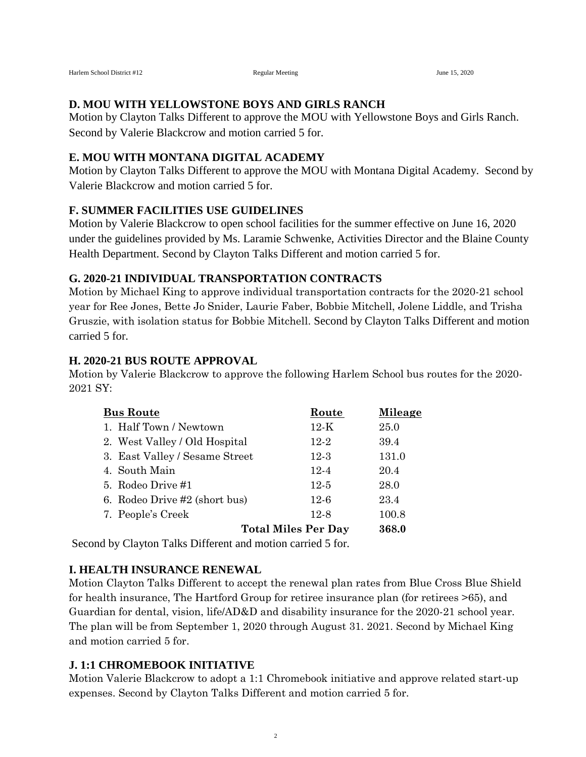### **D. MOU WITH YELLOWSTONE BOYS AND GIRLS RANCH**

Motion by Clayton Talks Different to approve the MOU with Yellowstone Boys and Girls Ranch. Second by Valerie Blackcrow and motion carried 5 for.

### **E. MOU WITH MONTANA DIGITAL ACADEMY**

Motion by Clayton Talks Different to approve the MOU with Montana Digital Academy. Second by Valerie Blackcrow and motion carried 5 for.

## **F. SUMMER FACILITIES USE GUIDELINES**

Motion by Valerie Blackcrow to open school facilities for the summer effective on June 16, 2020 under the guidelines provided by Ms. Laramie Schwenke, Activities Director and the Blaine County Health Department. Second by Clayton Talks Different and motion carried 5 for.

#### **G. 2020-21 INDIVIDUAL TRANSPORTATION CONTRACTS**

Motion by Michael King to approve individual transportation contracts for the 2020-21 school year for Ree Jones, Bette Jo Snider, Laurie Faber, Bobbie Mitchell, Jolene Liddle, and Trisha Gruszie, with isolation status for Bobbie Mitchell. Second by Clayton Talks Different and motion carried 5 for.

## **H. 2020-21 BUS ROUTE APPROVAL**

Motion by Valerie Blackcrow to approve the following Harlem School bus routes for the 2020- 2021 SY:

| <b>Bus Route</b>               | Route                      | Mileage |
|--------------------------------|----------------------------|---------|
| 1. Half Town / Newtown         | $12-K$                     | 25.0    |
| 2. West Valley / Old Hospital  | $12 - 2$                   | 39.4    |
| 3. East Valley / Sesame Street | $12-3$                     | 131.0   |
| 4. South Main                  | $12 - 4$                   | 20.4    |
| 5. Rodeo Drive #1              | $12-5$                     | 28.0    |
| 6. Rodeo Drive #2 (short bus)  | $12 - 6$                   | 23.4    |
| 7. People's Creek              | $12-8$                     | 100.8   |
|                                | <b>Total Miles Per Day</b> | 368.0   |

Second by Clayton Talks Different and motion carried 5 for.

# **I. HEALTH INSURANCE RENEWAL**

Motion Clayton Talks Different to accept the renewal plan rates from Blue Cross Blue Shield for health insurance, The Hartford Group for retiree insurance plan (for retirees >65), and Guardian for dental, vision, life/AD&D and disability insurance for the 2020-21 school year. The plan will be from September 1, 2020 through August 31. 2021. Second by Michael King and motion carried 5 for.

# **J. 1:1 CHROMEBOOK INITIATIVE**

Motion Valerie Blackcrow to adopt a 1:1 Chromebook initiative and approve related start-up expenses. Second by Clayton Talks Different and motion carried 5 for.